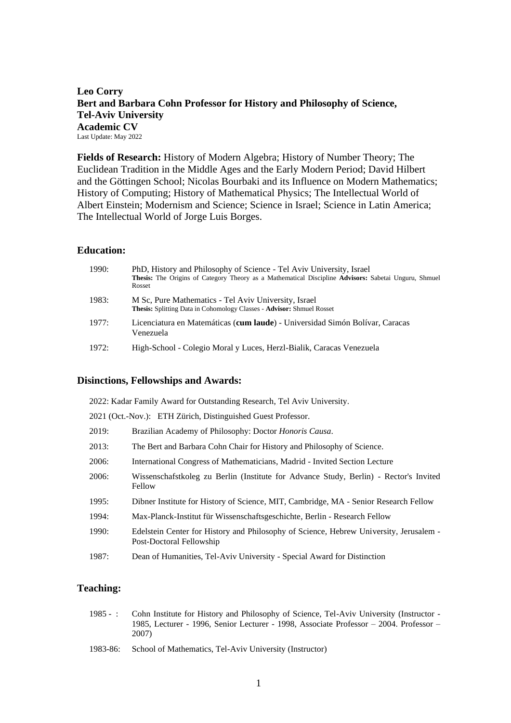# **Leo Corry Bert and Barbara Cohn Professor for History and Philosophy of Science, Tel-Aviv University Academic CV** Last Update: May 2022

**Fields of Research:** History of Modern Algebra; History of Number Theory; The Euclidean Tradition in the Middle Ages and the Early Modern Period; David Hilbert and the Göttingen School; Nicolas Bourbaki and its Influence on Modern Mathematics; History of Computing; History of Mathematical Physics; The Intellectual World of Albert Einstein; Modernism and Science; Science in Israel; Science in Latin America; The Intellectual World of Jorge Luis Borges.

# **Education:**

| 1990: | PhD, History and Philosophy of Science - Tel Aviv University, Israel<br>Thesis: The Origins of Category Theory as a Mathematical Discipline Advisors: Sabetai Unguru, Shmuel<br>Rosset |
|-------|----------------------------------------------------------------------------------------------------------------------------------------------------------------------------------------|
| 1983: | M Sc, Pure Mathematics - Tel Aviv University, Israel<br><b>Thesis:</b> Splitting Data in Cohomology Classes - Advisor: Shmuel Rosset                                                   |
| 1977: | Licenciatura en Matemáticas (cum laude) - Universidad Simón Bolívar, Caracas<br>Venezuela                                                                                              |
| 1972: | High-School - Colegio Moral y Luces, Herzl-Bialik, Caracas Venezuela                                                                                                                   |

# **Disinctions, Fellowships and Awards:**

| 2022: Kadar Family Award for Outstanding Research, Tel Aviv University. |  |  |  |
|-------------------------------------------------------------------------|--|--|--|
|                                                                         |  |  |  |

2021 (Oct.-Nov.): ETH Zürich, Distinguished Guest Professor.

| 2019: | Brazilian Academy of Philosophy: Doctor Honoris Causa. |  |  |  |  |  |  |
|-------|--------------------------------------------------------|--|--|--|--|--|--|
|-------|--------------------------------------------------------|--|--|--|--|--|--|

- 2013: The Bert and Barbara Cohn Chair for History and Philosophy of Science.
- 2006: [International Congress of Mathematicians,](http://www.icm2006.org/scientificprogram/sectionlectures/) Madrid Invited Section Lecture
- 2006: [Wissenschafstkoleg zu Berlin \(Institute for Advance Study, Berlin\)](http://www.wiko-berlin.de/kolleg/fellows/fellows0506?hpl=2&start=2) Rector's Invited Fellow
- 1995: [Dibner Institute for History of Science,](http://dibinst.mit.edu/index.html) MIT, Cambridge, MA Senior Research Fellow
- 1994: [Max-Planck-Institut für Wissenschaftsgeschichte,](http://www.mpiwg-berlin.mpg.de/en/index.html) Berlin Research Fellow
- 1990: Edelstein Center for History and Philosophy of Science, Hebrew University, Jerusalem Post-Doctoral Fellowship
- 1987: Dean of Humanities, Tel-Aviv University Special Award for Distinction

# **Teaching:**

- 1985 : Cohn Institute for History and Philosophy of Science, Tel-Aviv University (Instructor 1985, Lecturer - 1996, Senior Lecturer - 1998, Associate Professor – 2004. Professor – 2007)
- 1983-86: School of Mathematics, Tel-Aviv University (Instructor)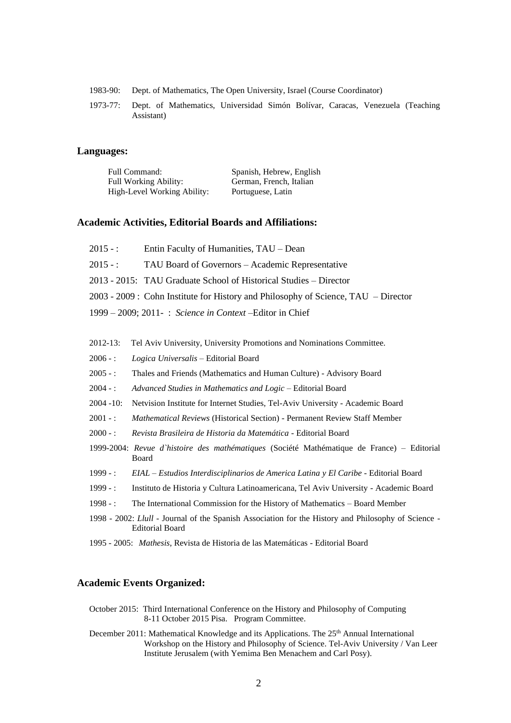- 1983-90: Dept. of Mathematics, The Open University, Israel (Course Coordinator)
- 1973-77: Dept. of Mathematics, Universidad Simón Bolívar, Caracas, Venezuela (Teaching Assistant)

### **Languages:**

| Full Command:                | Spanish, Hebrew, English |
|------------------------------|--------------------------|
| <b>Full Working Ability:</b> | German, French, Italian  |
| High-Level Working Ability:  | Portuguese, Latin        |

## **Academic Activities, Editorial Boards and Affiliations:**

- 2015 : Entin Faculty of Humanities, TAU Dean
- 2015 : TAU Board of Governors Academic Representative
- 2013 2015: TAU Graduate School of Historical Studies Director

2003 - 2009 : Cohn Institute for History and Philosophy of Science, TAU – Director

- 1999 2009; 2011- : *Science in Context* –Editor in Chief
- 2012-13: Tel Aviv University, University Promotions and Nominations Committee.
- 2006 : *Logica Universalis* Editorial Board
- 2005 : Thales and Friends (Mathematics and Human Culture) Advisory Board
- 2004 : *Advanced Studies in Mathematics and Logic* Editorial Board
- 2004 -10: Netvision Institute for Internet Studies, Tel-Aviv University Academic Board
- 2001 -: *Mathematical Reviews* (Historical Section) Permanent Review Staff Member
- 2000 : *Revista Brasileira de Historia da Matemática* Editorial Board
- 1999-2004: *Revue d`histoire des mathématiques* (Société Mathématique de France) Editorial Board
- 1999 : *EIAL – Estudios Interdisciplinarios de America Latina y El Caribe* Editorial Board
- 1999 : Instituto de Historia y Cultura Latinoamericana, Tel Aviv University Academic Board
- 1998 -: The International Commission for the History of Mathematics Board Member
- 1998 2002: *Llull* Journal of the Spanish Association for the History and Philosophy of Science Editorial Board
- 1995 2005: *Mathesis*, Revista de Historia de las Matemáticas Editorial Board

## **Academic Events Organized:**

- October 2015: Third International Conference on the History and Philosophy of Computing 8-11 October 2015 Pisa. Program Committee.
- December 2011: Mathematical Knowledge and its Applications. The 25<sup>th</sup> Annual International Workshop on the History and Philosophy of Science. Tel-Aviv University / Van Leer Institute Jerusalem (with Yemima Ben Menachem and Carl Posy).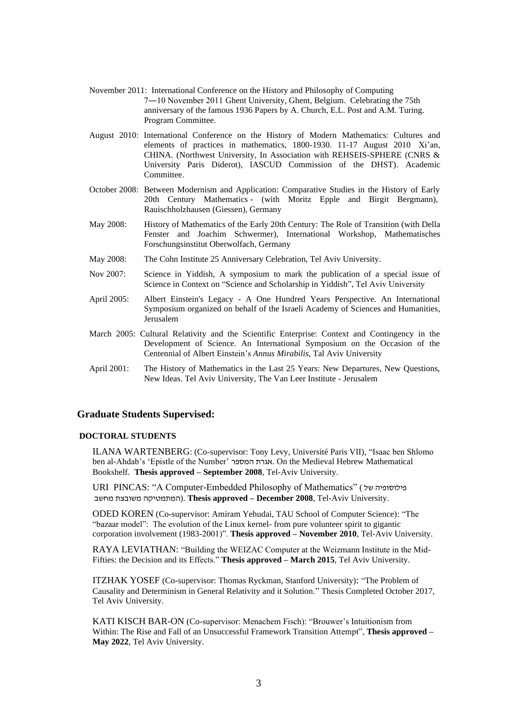- November 2011: International Conference on the History and Philosophy of Computing 7―10 November 2011 Ghent University, Ghent, Belgium. Celebrating the 75th anniversary of the famous 1936 Papers by A. Church, E.L. Post and A.M. Turing. Program Committee.
- August 2010: International Conference on the History of Modern Mathematics: Cultures and elements of practices in mathematics, 1800-1930. 11-17 August 2010 Xi'an, CHINA. (Northwest University, In Association with REHSEIS-SPHERE (CNRS & University Paris Diderot), IASCUD Commission of the DHST). Academic Committee.
- October 2008: Between Modernism and Application: Comparative Studies in the History of Early 20th Century Mathematics - (with Moritz Epple and Birgit Bergmann), Rauischholzhausen (Giessen), Germany
- May 2008: History of Mathematics of the Early 20th Century: The Role of Transition (with Della Fenster and Joachim Schwermer), International Workshop, Mathematisches Forschungsinstitut Oberwolfach, Germany
- May 2008: The Cohn Institute 25 Anniversary Celebration, Tel Aviv University.
- Nov 2007: Science in Yiddish, A symposium to mark the publication of a special issue of Science in Context on "Science and Scholarship in Yiddish", Tel Aviv University
- April 2005: Albert Einstein's Legacy A One Hundred Years Perspective. An International Symposium organized on behalf of the Israeli Academy of Sciences and Humanities, Jerusalem
- March 2005: Cultural Relativity and the Scientific Enterprise: Context and Contingency in the Development of Science. An International Symposium on the Occasion of the Centennial of Albert Einstein's *Annus Mirabilis*, Tal Aviv University
- April 2001: The History of Mathematics in the Last 25 Years: New Departures, New Questions, New Ideas. Tel Aviv University, The Van Leer Institute - Jerusalem

# **Graduate Students Supervised:**

## **DOCTORAL STUDENTS**

ILANA WARTENBERG: (Co-supervisor: Tony Levy, Université Paris VII), "Isaac ben Shlomo ben al-Ahdab's 'Epistle of the Number' המספר אגרת. On the Medieval Hebrew Mathematical Bookshelf. **Thesis approved – September 2008**, Tel-Aviv University.

URI PINCAS: "A Computer-Embedded Philosophy of Mathematics" ( של פילוסופיה מחשב משובצת המתמטיקה(. **Thesis approved – December 2008**, Tel-Aviv University.

ODED KOREN (Co-supervisor: Amiram Yehudai, TAU School of Computer Science): "The "bazaar model": The evolution of the Linux kernel- from pure volunteer spirit to gigantic corporation involvement (1983-2001)". **Thesis approved – November 2010**, Tel-Aviv University.

RAYA LEVIATHAN: "Building the WEIZAC Computer at the Weizmann Institute in the Mid-Fifties: the Decision and its Effects." **Thesis approved – March 2015**, Tel Aviv University.

ITZHAK YOSEF (Co-supervisor: Thomas Ryckman, Stanford University): "The Problem of Causality and Determinism in General Relativity and it Solution." Thesis Completed October 2017, Tel Aviv University.

KATI KISCH BAR-ON (Co-supervisor: Menachem Fisch): "Brouwer's Intuitionism from Within: The Rise and Fall of an Unsuccessful Framework Transition Attempt", **Thesis approved – May 2022**, Tel Aviv University.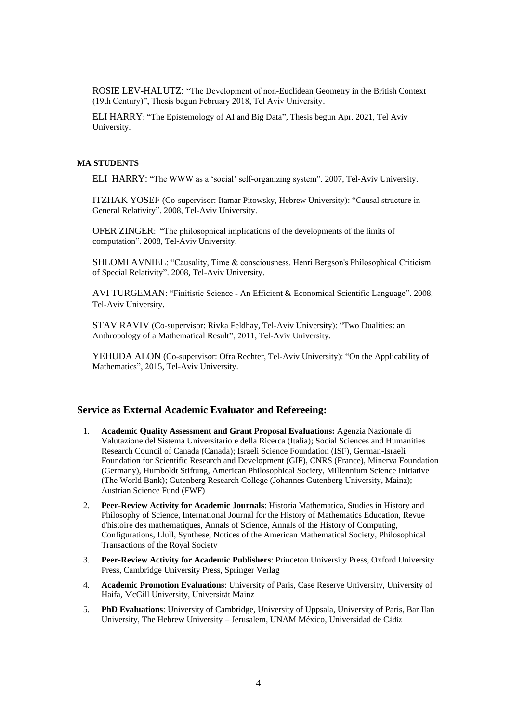ROSIE LEV-HALUTZ: "The Development of non-Euclidean Geometry in the British Context (19th Century)", Thesis begun February 2018, Tel Aviv University.

ELI HARRY: "The Epistemology of AI and Big Data", Thesis begun Apr. 2021, Tel Aviv University.

# **MA STUDENTS**

ELI HARRY: "The WWW as a 'social' self-organizing system". 2007, Tel-Aviv University.

ITZHAK YOSEF (Co-supervisor: Itamar Pitowsky, Hebrew University): "Causal structure in General Relativity". 2008, Tel-Aviv University.

OFER ZINGER: "The philosophical implications of the developments of the limits of computation". 2008, Tel-Aviv University.

SHLOMI AVNIEL: "Causality, Time & consciousness. Henri Bergson's Philosophical Criticism of Special Relativity". 2008, Tel-Aviv University.

AVI TURGEMAN: "Finitistic Science - An Efficient & Economical Scientific Language". 2008, Tel-Aviv University.

STAV RAVIV (Co-supervisor: Rivka Feldhay, Tel-Aviv University): "Two Dualities: an Anthropology of a Mathematical Result", 2011, Tel-Aviv University.

YEHUDA ALON (Co-supervisor: Ofra Rechter, Tel-Aviv University): "On the Applicability of Mathematics", 2015, Tel-Aviv University.

# **Service as External Academic Evaluator and Refereeing:**

- 1. **Academic Quality Assessment and Grant Proposal Evaluations:** Agenzia Nazionale di Valutazione del Sistema Universitario e della Ricerca (Italia); Social Sciences and Humanities Research Council of Canada (Canada); Israeli Science Foundation (ISF), German-Israeli Foundation for Scientific Research and Development (GIF), CNRS (France), Minerva Foundation (Germany), Humboldt Stiftung, American Philosophical Society, Millennium Science Initiative (The World Bank); Gutenberg Research College (Johannes Gutenberg University, Mainz); Austrian Science Fund (FWF)
- 2. **Peer-Review Activity for Academic Journals**: Historia Mathematica, Studies in History and Philosophy of Science, International Journal for the History of Mathematics Education, Revue d'histoire des mathematiques, Annals of Science, Annals of the History of Computing, Configurations, Llull, Synthese, Notices of the American Mathematical Society, Philosophical Transactions of the Royal Society
- 3. **Peer-Review Activity for Academic Publishers**: Princeton University Press, Oxford University Press, Cambridge University Press, Springer Verlag
- 4. **Academic Promotion Evaluations**: University of Paris, Case Reserve University, University of Haifa, McGill University, Universität Mainz
- 5. **PhD Evaluations**: University of Cambridge, University of Uppsala, University of Paris, Bar Ilan University, The Hebrew University – Jerusalem, UNAM México, Universidad de Cádiz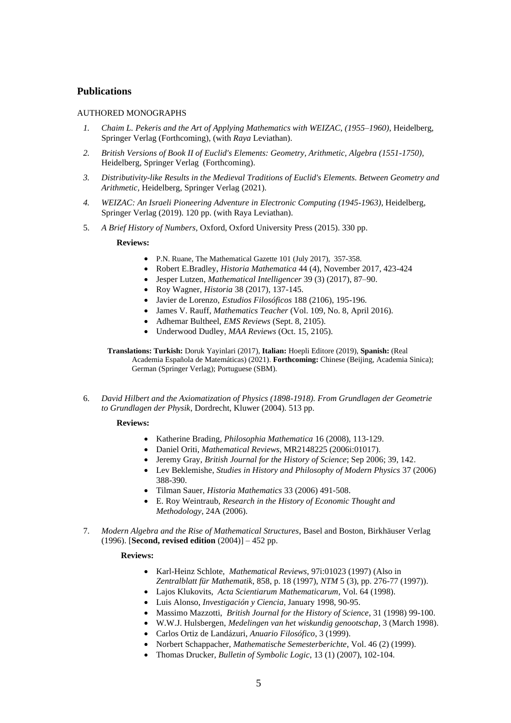# **Publications**

## AUTHORED MONOGRAPHS

- *1. Chaim L. Pekeris and the Art of Applying Mathematics with WEIZAC, (1955–1960),* Heidelberg, Springer Verlag (Forthcoming), (with *Raya* Leviathan).
- *2. British Versions of Book II of Euclid's Elements: Geometry, Arithmetic, Algebra (1551-1750),* Heidelberg, Springer Verlag (Forthcoming).
- *3. Distributivity-like Results in the Medieval Traditions of Euclid's Elements. Between Geometry and Arithmetic,* Heidelberg, Springer Verlag (2021).
- *4. WEIZAC: An Israeli Pioneering Adventure in Electronic Computing (1945-1963)*, Heidelberg, Springer Verlag (2019). 120 pp. (with Raya Leviathan).
- 5. *A Brief History of Numbers*, Oxford, Oxford University Press (2015). 330 pp.

#### **Reviews:**

- P.N. Ruane, [The Mathematical Gazette](https://www.tau.ac.il/~corry/publications/books/pdf/RUANEonLC.pdf) 101 (July 2017), 357-358.
- Robert E.Bradley, *[Historia Mathematica](http://www.tau.ac.il/~corry/publications/books/pdf/Numbers%20RBradley.pdf)* 44 (4), November 2017, 423-424
- Jesper Lutzen, *[Mathematical Intelligencer](http://www.tau.ac.il/~corry/publications/books/pdf/Numbers%20JLutzen.pdf)* 39 (3) (2017), 87–90.
- Roy Wagner, *[Historia](http://www.tau.ac.il/~corry/publications/books/pdf/Numbers%20RWagner.pdf)* 38 (2017), 137-145.
- Javier de Lorenzo, *[Estudios Filosóficos](http://www.tau.ac.il/~corry/publications/books/pdf/Numbers%20JLorenzo.pdf)* 188 (2106), 195-196.
- James V. Rauff, *Mathematics Teacher* (Vol. 109, No. 8, April 2016).
- Adhemar Bultheel, *EMS Reviews* (Sept. 8, 2105).
- Underwood Dudley, *MAA Reviews* (Oct. 15, 2105).

**Translations: Turkish:** Doruk Yayinlari (2017), **Italian:** Hoepli Editore (2019), **Spanish:** (Real Academia Española de Matemáticas) (2021). **Forthcoming:** Chinese (Beijing, Academia Sinica); German (Springer Verlag); Portuguese (SBM).

6. *David Hilbert and the Axiomatization of Physics (1898-1918). From Grundlagen der Geometrie to Grundlagen der Physik*, Dordrecht, Kluwer (2004). 513 pp.

#### **Reviews:**

- Katherine Brading, *Philosophia Mathematica* 16 (2008), 113-129.
- Daniel Oriti, *Mathematical Reviews*, MR2148225 (2006i:01017).
- Jeremy Gray, *British Journal for the History of Science*; Sep 2006; 39, 142.
- Lev Beklemishe, *Studies in History and Philosophy of Modern Physics* 37 (2006) 388-390.
- Tilman Sauer, *Historia Mathematics* 33 (2006) 491-508.
- E. Roy Weintraub, *Research in the History of Economic Thought and Methodology*, 24A (2006).
- 7. *Modern Algebra and the Rise of Mathematical Structures*, Basel and Boston, Birkhäuser Verlag (1996). [**Second, revised edition** (2004)] – 452 pp.

#### **Reviews:**

- Karl-Heinz Schlote, *Mathematical Reviews*, 97i:01023 (1997) (Also in *Zentralblatt für Mathematik*, 858, p. 18 (1997), *NTM* 5 (3), pp. 276-77 (1997)).
- Lajos Klukovits, *Acta Scientiarum Mathematicarum*, Vol. 64 (1998).
- Luis Alonso, *[Investigación y Ciencia](http://www.investigacionyciencia.es/)*, January 1998, 90-95.
- Massimo Mazzotti, *British Journal for the History of Science*, 31 (1998) 99-100.
- W.W.J. Hulsbergen, *Medelingen van het wiskundig genootschap*, 3 (March 1998).
- Carlos Ortiz de Landázuri, *Anuario Filosófico*, 3 (1999).
- Norbert Schappacher, *Mathematische Semesterberichte*, Vol. 46 (2) (1999).
- Thomas Drucker, *Bulletin of Symbolic Logic*, 13 (1) (2007), 102-104.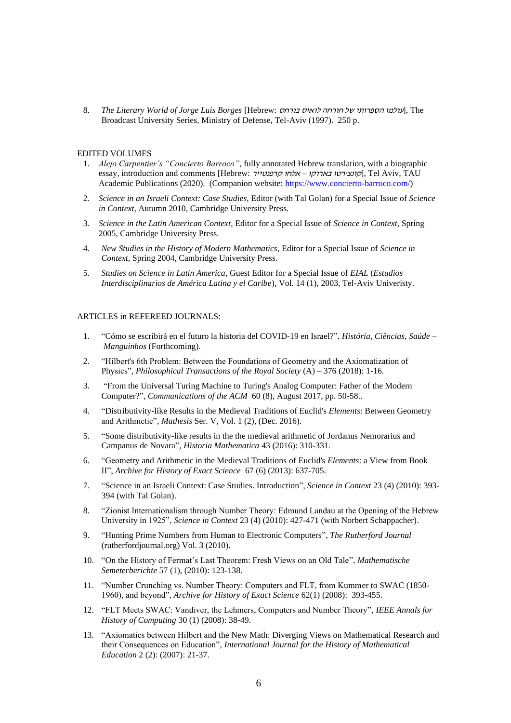8. *The Literary World of Jorge Luis Borges* [Hebrew: האיס בורחה לואיס בורחס לואיס חורחה לואיס חורחה לואיס חורחה Broadcast University Series, Ministry of Defense, Tel-Aviv (1997). 250 p.

### EDITED VOLUMES

- 1. *Alejo Carpentier's "Concierto Barroco"*, fully annotated Hebrew translation, with a biographic essay, introduction and comments [Hebrew: קונצירטו בארוקו – אלחו קרפנטייר), Tel Aviv, TAU Academic Publications (2020). (Companion website: [https://www.concierto-barroco.com/\)](https://www.concierto-barroco.com/)
- 2. *[Science in an Israeli Context: Case Studies](http://journals.cambridge.org/action/displayAbstract?fromPage=online&aid=7928245&fulltextType=IN&fileId=S0269889710000153)*, Editor (with Tal Golan) for a Special Issue of *[Science](http://journals.cambridge.org/action/displayJournal?jid=SIC)  [in Context](http://journals.cambridge.org/action/displayJournal?jid=SIC)*, Autumn 2010, Cambridge University Press.
- 3. *Science in the Latin American Context*, Editor for a Special Issue of *[Science in Context](http://journals.cambridge.org/action/displayJournal?jid=SIC)*, Spring 2005, Cambridge University Press.
- 4. *[New Studies in the History of Modern Mathematics](http://journals.cambridge.org/action/displayIssue?jid=SIC&volumeId=17&issueId=1/2)*, Editor for a Special Issue of *[Science in](http://journals.cambridge.org/action/displayJournal?jid=SIC)  [Context](http://journals.cambridge.org/action/displayJournal?jid=SIC)*, Spring 2004, Cambridge University Press.
- 5. *[Studies on Science in Latin America](http://www.tau.ac.il/eial/XIV_1/)*, Guest Editor for a Special Issue of *[EIAL](http://www.tau.ac.il/eial)* (*Estudios Interdisciplinarios de América Latina y el Caribe*), Vol. 14 (1), 2003, Tel-Aviv Univeristy.

# ARTICLES in REFEREED JOURNALS:

- 1. "Cómo se escribirá en el futuro la historia del COVID-19 en Israel?", *História, Ciências, Saúde – Manguinhos* (Forthcoming).
- 2. "Hilbert's 6th Problem: Between the Foundations of Geometry and the Axiomatization of Physics", *Philosophical Transactions of the Royal Society* (A) – 376 (2018): 1-16.
- 3. "From the Universal Turing Machine to Turing's Analog Computer: Father of the Modern Computer?", *Communications of the ACM* 60 (8), August 2017, pp. 50-58..
- 4. "Distributivity-like Results in the Medieval Traditions of Euclid's *Elements*: Between Geometry and Arithmetic", *Mathesis* Ser. V, Vol. 1 (2), (Dec. 2016).
- 5. "Some distributivity-like results in the the medieval arithmetic of Jordanus Nemorarius and Campanus de Novara", *Historia Mathematica* 43 (2016): 310-331.
- 6. "Geometry and Arithmetic in the Medieval Traditions of Euclid's *Elements*: a View from Book II", *Archive for History of Exact Science* 67 (6) (2013): 637-705.
- 7. "Science in an Israeli Context: Case Studies. Introduction", *Science in Context* 23 (4) (2010): 393- 394 (with Tal Golan).
- 8. "Zionist Internationalism through Number Theory: Edmund Landau at the Opening of the Hebrew University in 1925", *Science in Context* 23 (4) (2010): 427-471 (with Norbert Schappacher).
- 9. "Hunting Prime Numbers from Human to Electronic Computers", *The Rutherford Journal*  (rutherfordjournal.org) Vol. 3 (2010).
- 10. "On the History of Fermat's Last Theorem: Fresh Views on an Old Tale", *Mathematische Semeterberichte* 57 (1), (2010): 123-138.
- 11. "Number Crunching vs. Number Theory: Computers and FLT, from Kummer to SWAC (1850- 1960), and beyond", *Archive for History of Exact Science* 62(1) (2008): 393-455.
- 12. "FLT Meets SWAC: Vandiver, the Lehmers, Computers and Number Theory", *IEEE Annals for History of Computing* 30 (1) (2008): 38-49.
- 13. "Axiomatics between Hilbert and the New Math: Diverging Views on Mathematical Research and their Consequences on Education", *International Journal for the History of Mathematical Education* 2 (2): (2007): 21-37.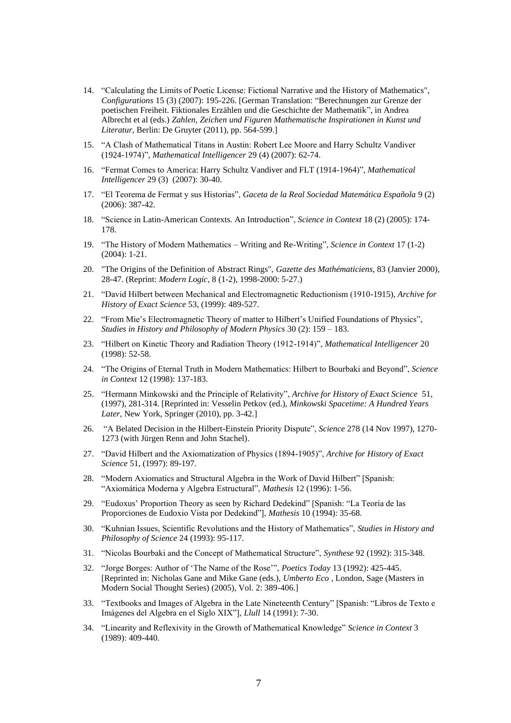- 14. "Calculating the Limits of Poetic License: Fictional Narrative and the History of Mathematics", *Configurations* 15 (3) (2007): 195-226. [German Translation: "Berechnungen zur Grenze der poetischen Freiheit. Fiktionales Erzählen und die Geschichte der Mathematik", in Andrea Albrecht et al (eds.) *Zahlen, Zeichen und Figuren Mathematische Inspirationen in Kunst und Literatur*, Berlin: De Gruyter (2011), pp. 564-599.]
- 15. "A Clash of Mathematical Titans in Austin: Robert Lee Moore and Harry Schultz Vandiver (1924-1974)", *Mathematical Intelligencer* 29 (4) (2007): 62-74.
- 16. "Fermat Comes to America: Harry Schultz Vandiver and FLT (1914-1964)", *Mathematical Intelligencer* 29 (3) (2007): 30-40.
- 17. "El Teorema de Fermat y sus Historias", *Gaceta de la Real Sociedad Matemática Española* 9 (2) (2006): 387-42.
- 18. "Science in Latin-American Contexts. An Introduction", *Science in Context* 18 (2) (2005): 174- 178.
- 19. "The History of Modern Mathematics Writing and Re-Writing", *Science in Context* 17 (1-2) (2004): 1-21.
- 20. "The Origins of the Definition of Abstract Rings", *Gazette des Mathématiciens*, 83 (Janvier 2000), 28-47. (Reprint: *Modern Logic*, 8 (1-2), 1998-2000: 5-27.)
- 21. "David Hilbert between Mechanical and Electromagnetic Reductionism (1910-1915), *Archive for History of Exact Science* 53, (1999): 489-527.
- 22. "From Mie's Electromagnetic Theory of matter to Hilbert's Unified Foundations of Physics", *Studies in History and Philosophy of Modern Physics* 30 (2): 159 – 183.
- 23. "Hilbert on Kinetic Theory and Radiation Theory (1912-1914)", *Mathematical Intelligencer* 20 (1998): 52-58.
- 24. "The Origins of Eternal Truth in Modern Mathematics: Hilbert to Bourbaki and Beyond", *Science in Context* 12 (1998): 137-183.
- 25. "Hermann Minkowski and the Principle of Relativity", *Archive for History of Exact Science* 51, (1997), 281-314. [Reprinted in: Vesselin Petkov (ed.), *[Minkowski Spacetime: A Hundred Years](http://www.amazon.com/Minkowski-Spacetime-Hundred-Fundamental-Theories/dp/9048134749http:/www.amazon.com/Minkowski-Spacetime-Hundred-Fundamental-Theories/dp/9048134749)  [Later](http://www.amazon.com/Minkowski-Spacetime-Hundred-Fundamental-Theories/dp/9048134749http:/www.amazon.com/Minkowski-Spacetime-Hundred-Fundamental-Theories/dp/9048134749)*, New York, Springer (2010), pp. 3-42.]
- 26. "A Belated Decision in the Hilbert-Einstein Priority Dispute", *Science* 278 (14 Nov 1997), 1270- 1273 (with Jürgen Renn and John Stachel).
- 27. "David Hilbert and the Axiomatization of Physics (1894-1905)", *Archive for History of Exact Science* 51, (1997): 89-197.
- 28. "Modern Axiomatics and Structural Algebra in the Work of David Hilbert" [Spanish: "Axiomática Moderna y Algebra Estructural", *Mathesis* 12 (1996): 1-56.
- 29. "Eudoxus' Proportion Theory as seen by Richard Dedekind" [Spanish: "La Teoría de las Proporciones de Eudoxio Vista por Dedekind"], *Mathesis* 10 (1994): 35-68.
- 30. "Kuhnian Issues, Scientific Revolutions and the History of Mathematics", *Studies in History and Philosophy of Science* 24 (1993): 95-117.
- 31. "Nicolas Bourbaki and the Concept of Mathematical Structure", *Synthese* 92 (1992): 315-348.
- 32. "Jorge Borges: Author of 'The Name of the Rose'", *Poetics Today* 13 (1992): 425-445. [Reprinted in: Nicholas Gane and Mike Gane (eds.), *Umberto Eco* , London, Sage (Masters in Modern Social Thought Series) (2005), Vol. 2: 389-406.]
- 33. "Textbooks and Images of Algebra in the Late Nineteenth Century" [Spanish: "Libros de Texto e Imágenes del Algebra en el Siglo XIX"], *Llull* 14 (1991): 7-30.
- 34. "Linearity and Reflexivity in the Growth of Mathematical Knowledge" *Science in Context* 3 (1989): 409-440.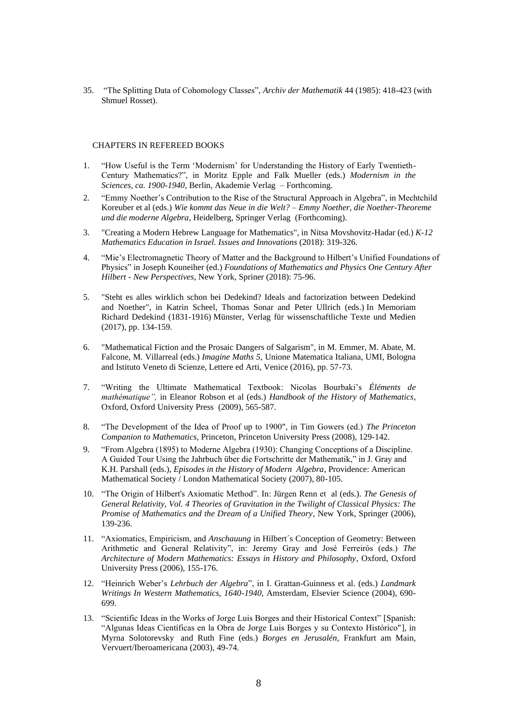35. "The Splitting Data of Cohomology Classes", *Archiv der Mathematik* 44 (1985): 418-423 (with Shmuel Rosset).

## CHAPTERS IN REFEREED BOOKS

- 1. "How Useful is the Term 'Modernism' for Understanding the History of Early Twentieth-Century Mathematics?", in Moritz Epple and Falk Mueller (eds.) *Modernism in the Sciences, ca. 1900-1940*, Berlin, Akademie Verlag – Forthcoming.
- 2. "Emmy Noether's Contribution to the Rise of the Structural Approach in Algebra", in Mechtchild Koreuber et al (eds.) *Wie kommt das Neue in die Welt? – Emmy Noether, die Noether-Theoreme und die moderne Algebra*, Heidelberg, Springer Verlag (Forthcoming).
- 3. "Creating a Modern Hebrew Language for Mathematics", in Nitsa Movshovitz-Hadar (ed.) *[K-12](http://www.worldscientific.com/worldscibooks/10.1142/10741)  [Mathematics Education in Israel. Issues and Innovations](http://www.worldscientific.com/worldscibooks/10.1142/10741)* (2018): 319-326.
- 4. "Mie's Electromagnetic Theory of Matter and the Background to Hilbert's Unified Foundations of Physics" in Joseph Kouneiher (ed.) *Foundations of Mathematics and Physics One Century After Hilbert - New Perspectives*, New York, Spriner (2018): 75-96.
- 5. "Steht es alles wirklich schon bei Dedekind? Ideals and factorization between Dedekind and Noether", in Katrin Scheel, Thomas Sonar and Peter Ullrich (eds.) In Memoriam Richard Dedekind (1831-1916) Münster, Verlag für wissenschaftliche Texte und Medien (2017), pp. 134-159.
- 6. "Mathematical Fiction and the Prosaic Dangers of Salgarism", in M. Emmer, M. Abate, M. Falcone, M. Villarreal (eds.) *Imagine Maths 5*, Unione Matematica Italiana, UMI, Bologna and Istituto Veneto di Scienze, Lettere ed Arti, Venice (2016), pp. 57-73.
- 7. "Writing the Ultimate Mathematical Textbook: Nicolas Bourbaki's *Éléments de mathématique",* in Eleanor Robson et al (eds.) *Handbook of the History of Mathematics*, Oxford, Oxford University Press (2009), 565-587.
- 8. "The Development of the Idea of Proof up to 1900", in Tim Gowers (ed.) *The Princeton Companion to Mathematics*, Princeton, Princeton University Press (2008), 129-142.
- 9. "From Algebra (1895) to Moderne Algebra (1930): Changing Conceptions of a Discipline. A Guided Tour Using the Jahrbuch über die Fortschritte der Mathematik," in J. Gray and K.H. Parshall (eds.), *Episodes in the History of Modern Algebra*, Providence: American Mathematical Society / London Mathematical Society (2007), 80-105.
- 10. "The Origin of Hilbert's Axiomatic Method". In: Jürgen Renn et al (eds.). *The Genesis of General Relativity, Vol. 4 Theories of Gravitation in the Twilight of Classical Physics: The Promise of Mathematics and the Dream of a Unified Theory*, New York, Springer (2006), 139-236.
- 11. "Axiomatics, Empiricism, and *Anschauung* in Hilbert´s Conception of Geometry: Between Arithmetic and General Relativity", in: Jeremy Gray and José Ferreirós (eds.) *The Architecture of Modern Mathematics: Essays in History and Philosophy*, Oxford, Oxford University Press (2006), 155-176.
- 12. "Heinrich Weber's *Lehrbuch der Algebra*", in I. Grattan-Guinness et al. (eds.) *Landmark Writings In Western Mathematics, 1640-1940*, Amsterdam, Elsevier Science (2004), 690- 699.
- 13. "Scientific Ideas in the Works of Jorge Luis Borges and their Historical Context" [Spanish: "Algunas Ideas Científicas en la Obra de Jorge Luis Borges y su Contexto Histórico"], in Myrna Solotorevsky and Ruth Fine (eds.) *Borges en Jerusalén*, Frankfurt am Main, Vervuert/Iberoamericana (2003), 49-74.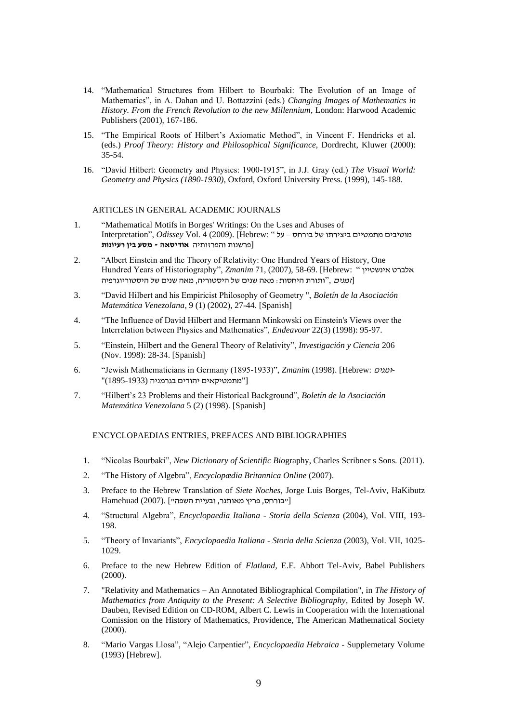- 14. "Mathematical Structures from Hilbert to Bourbaki: The Evolution of an Image of Mathematics", in A. Dahan and U. Bottazzini (eds.) *Changing Images of Mathematics in History. From the French Revolution to the new Millennium*, London: Harwood Academic Publishers (2001), 167-186.
- 15. "The Empirical Roots of Hilbert's Axiomatic Method", in Vincent F. Hendricks et al. (eds.) *Proof Theory: History and Philosophical Significance*, Dordrecht, Kluwer (2000): 35-54.
- 16. "David Hilbert: Geometry and Physics: 1900-1915", in J.J. Gray (ed.) *The Visual World: Geometry and Physics (1890-1930)*, Oxford, Oxford University Press. (1999), 145-188.

# ARTICLES IN GENERAL ACADEMIC JOURNALS

- 1. "Mathematical Motifs in Borges' Writings: On the Uses and Abuses of מוטיבים מתמטיים ביצירתו של בורחס – על " :Hebrew [.)2009 (4 .Vol *Odissey* ,"Interpretation [פרשנות והפרזותיה **אודיסאה - מסע בין רעיונות**
- 2. "Albert Einstein and the Theory of Relativity: One Hundred Years of History, One Hundred Years of Historiography", *Zmanim* 71, (2007), 58-69. [Hebrew: " אינשטיין אלברט [*זמנים*, "ותורת היחסות: מאה שנים של היסטוריה, מאה שנים של היסטוריוגרפיה
- 3. "David Hilbert and his Empiricist Philosophy of Geometry ", *Boletín de la Asociación Matemática Venezolana*, 9 (1) (2002), 27-44. [Spanish]
- 4. "The Influence of David Hilbert and Hermann Minkowski on Einstein's Views over the Interrelation between Physics and Mathematics", *Endeavour* 22(3) (1998): 95-97.
- 5. "Einstein, Hilbert and the General Theory of Relativity", *Investigación y Ciencia* 206 (Nov. 1998): 28-34. [Spanish]
- 6. "Jewish Mathematicians in Germany (1895-1933)", *Zmanim* (1998). [Hebrew: זמנים- ["מתמטיקאים יהודים בגרמניה (1895-1933)"
- 7. "Hilbert's 23 Problems and their Historical Background", *Boletín de la Asociación Matemática Venezolana* 5 (2) (1998). [Spanish]

## ENCYCLOPAEDIAS ENTRIES, PREFACES AND BIBLIOGRAPHIES

- 1. "Nicolas Bourbaki", *New Dictionary of Scientific Bio*graphy, Charles Scribner s Sons. (2011).
- 2. "The History of Algebra", *Encyclopædia Britannica Online* (2007).
- 3. Preface to the Hebrew Translation of *Siete Noches*, Jorge Luis Borges, Tel-Aviv, HaKibutz Hamehuad (2007). ["בורחס, פריץ מאותנר, ובעיית השפה"]
- 4. "Structural Algebra", *Encyclopaedia Italiana - Storia della Scienza* (2004), Vol. VIII, 193- 198.
- 5. "Theory of Invariants", *Encyclopaedia Italiana - Storia della Scienza* (2003), Vol. VII, 1025- 1029.
- 6. Preface to the new Hebrew Edition of *Flatland*, E.E. Abbott Tel-Aviv, Babel Publishers (2000).
- 7. "Relativity and Mathematics An Annotated Bibliographical Compilation", in *The History of Mathematics from Antiquity to the Present: A Selective Bibliography*, Edited by Joseph W. Dauben, Revised Edition on CD-ROM, Albert C. Lewis in Cooperation with the International Comission on the History of Mathematics, Providence, The American Mathematical Society (2000).
- 8. "Mario Vargas Llosa", "Alejo Carpentier", *Encyclopaedia Hebraica* Supplemetary Volume (1993) [Hebrew].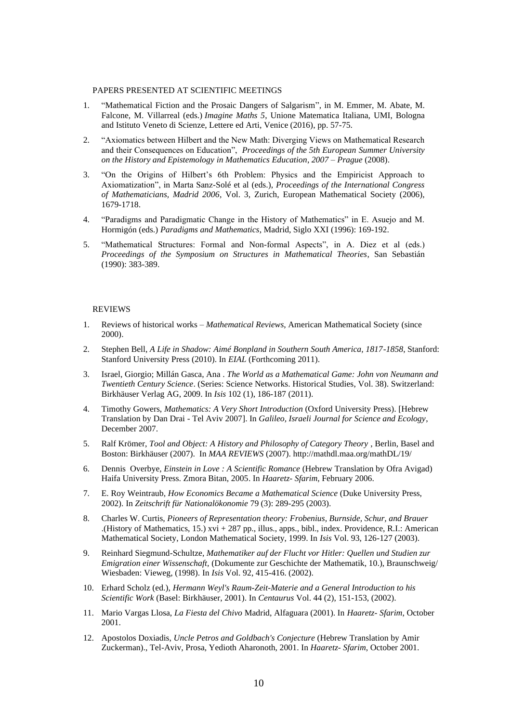## PAPERS PRESENTED AT SCIENTIFIC MEETINGS

- 1. "Mathematical Fiction and the Prosaic Dangers of Salgarism", in M. Emmer, M. Abate, M. Falcone, M. Villarreal (eds.) *Imagine Maths 5*, Unione Matematica Italiana, UMI, Bologna and Istituto Veneto di Scienze, Lettere ed Arti, Venice (2016), pp. 57-75.
- 2. "Axiomatics between Hilbert and the New Math: Diverging Views on Mathematical Research and their Consequences on Education", *Proceedings of the 5th European Summer University on the History and Epistemology in Mathematics Education*, *2007* – *Prague* (2008).
- 3. "On the Origins of Hilbert's 6th Problem: Physics and the Empiricist Approach to Axiomatization", in Marta Sanz-Solé et al (eds.), *Proceedings of the International Congress of Mathematicians, Madrid 2006*, Vol. 3, Zurich, European Mathematical Society (2006), 1679-1718.
- 4. "Paradigms and Paradigmatic Change in the History of Mathematics" in E. Asuejo and M. Hormigón (eds.) *Paradigms and Mathematics*, Madrid, Siglo XXI (1996): 169-192.
- 5. "Mathematical Structures: Formal and Non-formal Aspects", in A. Diez et al (eds.) *Proceedings of the Symposium on Structures in Mathematical Theories*, San Sebastián (1990): 383-389.

### REVIEWS

- 1. Reviews of historical works *Mathematical Reviews*, American Mathematical Society (since 2000).
- 2. Stephen Bell, *A Life in Shadow: Aimé Bonpland in Southern South America, 1817-1858*, Stanford: Stanford University Press (2010). In *EIAL* (Forthcoming 2011).
- 3. Israel, Giorgio; Millán Gasca, Ana . *The World as a Mathematical Game: John von Neumann and Twentieth Century Science*. (Series: [Science Networks. Historical Studies,](http://www.springer.com/series/4883) Vol. 38). Switzerland: Birkhäuser Verlag AG, 2009. In *Isis* 102 (1), 186-187 (2011).
- 4. Timothy Gowers, *Mathematics: A Very Short Introduction* (Oxford University Press). [Hebrew Translation by Dan Drai - Tel Aviv 2007]. In *Galileo, Israeli Journal for Science and Ecology*, December 2007.
- 5. Ralf Krömer, *Tool and Object: A History and Philosophy of Category Theory* , Berlin, Basel and Boston: Birkhäuser (2007). In *MAA REVIEWS* (2007). http://mathdl.maa.org/mathDL/19/
- 6. Dennis Overbye, *Einstein in Love : A Scientific Romance* (Hebrew Translation by Ofra Avigad) Haifa University Press. Zmora Bitan, 2005. In *Haaretz- Sfarim*, February 2006.
- 7. E. Roy Weintraub, *How Economics Became a Mathematical Science* (Duke University Press, 2002). In *Zeitschrift für Nationalökonomie* 79 (3): 289-295 (2003).
- 8. Charles W. Curtis, *Pioneers of Representation theory: Frobenius, Burnside, Schur, and Brauer* .(History of Mathematics, 15.) xvi + 287 pp., illus., apps., bibl., index. Providence, R.I.: American Mathematical Society, London Mathematical Society, 1999. In *Isis* Vol. 93, 126-127 (2003).
- 9. Reinhard Siegmund-Schultze, *Mathematiker auf der Flucht vor Hitler: Quellen und Studien zur Emigration einer Wissenschaft,* (Dokumente zur Geschichte der Mathematik, 10.), Braunschweig/ Wiesbaden: Vieweg, (1998). In *Isis* Vol. 92, 415-416. (2002).
- 10. Erhard Scholz (ed.), *Hermann Weyl's Raum-Zeit-Materie and a General Introduction to his Scientific Work* (Basel: Birkhäuser, 2001). In *Centaurus* Vol. 44 (2), 151-153, (2002).
- 11. Mario Vargas Llosa, *La Fiesta del Chivo* Madrid, Alfaguara (2001). In *Haaretz- Sfarim*, October 2001.
- 12. Apostolos Doxiadis, *Uncle Petros and Goldbach's Conjecture* (Hebrew Translation by Amir Zuckerman)., Tel-Aviv, Prosa, Yedioth Aharonoth, 2001. In *Haaretz- Sfarim*, October 2001.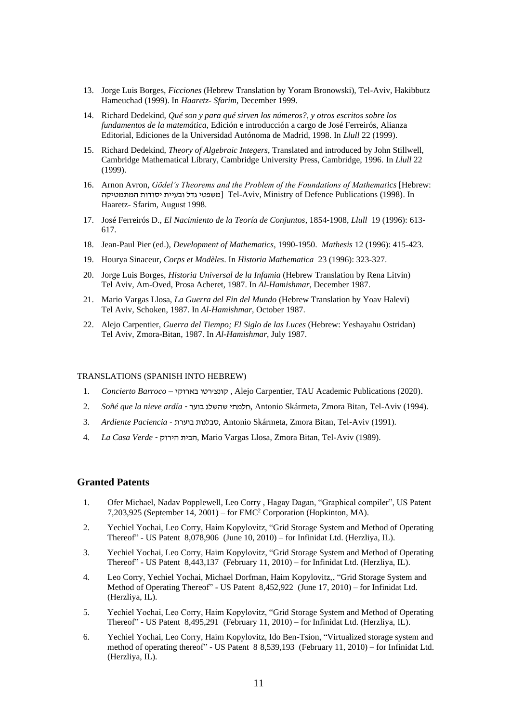- 13. Jorge Luis Borges, *Ficciones* (Hebrew Translation by Yoram Bronowski), Tel-Aviv, Hakibbutz Hameuchad (1999). In *Haaretz- Sfarim*, December 1999.
- 14. Richard Dedekind, *Qué son y para qué sirven los números?, y otros escritos sobre los fundamentos de la matemática*, Edición e introducción a cargo de José Ferreirós, Alianza Editorial, Ediciones de la Universidad Autónoma de Madrid, 1998. In *Llull* 22 (1999).
- 15. Richard Dedekind, *Theory of Algebraic Integers*, Translated and introduced by John Stillwell, Cambridge Mathematical Library, Cambridge University Press, Cambridge, 1996. In *Llull* 22 (1999).
- 16. Arnon Avron, *Gödel's Theorems and the Problem of the Foundations of Mathematics* [Hebrew: המעפטי גדל ובעיית יסודות המתמטיקה [Tel-Aviv, Ministry of Defence Publications (1998). In Haaretz- Sfarim, August 1998.
- 17. José Ferreirós D., *El Nacimiento de la Teoría de Conjuntos*, 1854-1908, *Llull* 19 (1996): 613- 617.
- 18. Jean-Paul Pier (ed.), *Development of Mathematics*, 1990-1950. *Mathesis* 12 (1996): 415-423.
- 19. Hourya Sinaceur, *Corps et Modèles*. In *Historia Mathematica* 23 (1996): 323-327.
- 20. Jorge Luis Borges, *Historia Universal de la Infamia* (Hebrew Translation by Rena Litvin) Tel Aviv, Am-Oved, Prosa Acheret, 1987. In *Al-Hamishmar*, December 1987.
- 21. Mario Vargas Llosa, *La Guerra del Fin del Mundo* (Hebrew Translation by Yoav Halevi) Tel Aviv, Schoken, 1987. In *Al-Hamishmar*, October 1987.
- 22. Alejo Carpentier, *Guerra del Tiempo; El Siglo de las Luces* (Hebrew: Yeshayahu Ostridan) Tel Aviv, Zmora-Bitan, 1987. In *Al-Hamishmar*, July 1987.

## TRANSLATIONS (SPANISH INTO HEBREW)

- 1. *Concierto Barroco –* הונצירטו בארוקי, Alejo Carpentier, TAU Academic Publications (2020).
- 2. *Soñé que la nieve ardía* בוער שהשלג חלמתי, Antonio Skármeta, Zmora Bitan, Tel-Aviv (1994).
- 3. *Ardiente Paciencia* בוערת סבלנות, Antonio Skármeta, Zmora Bitan, Tel-Aviv (1991).
- 4. *La Casa Verde* הירוק הבית, Mario Vargas Llosa, Zmora Bitan, Tel-Aviv (1989).

### **Granted Patents**

- 1. Ofer Michael, Nadav Popplewell, Leo Corry , Hagay Dagan, "Graphical compiler", US Patent 7,203,925 (September 14, 2001) – for EMC<sup>2</sup> Corporation (Hopkinton, MA).
- 2. Yechiel Yochai, Leo Corry, Haim Kopylovitz, "Grid Storage System and Method of Operating Thereof" - US Patent 8,078,906 (June 10, 2010) – for Infinidat Ltd. (Herzliya, IL).
- 3. Yechiel Yochai, Leo Corry, Haim Kopylovitz, "Grid Storage System and Method of Operating Thereof" - US Patent 8,443,137 (February 11, 2010) – for Infinidat Ltd. (Herzliya, IL).
- 4. Leo Corry, Yechiel Yochai, Michael Dorfman, Haim Kopylovitz,, "Grid Storage System and Method of Operating Thereof" - US Patent 8,452,922 (June 17, 2010) – for Infinidat Ltd. (Herzliya, IL).
- 5. Yechiel Yochai, Leo Corry, Haim Kopylovitz, "Grid Storage System and Method of Operating Thereof" - US Patent 8,495,291 (February 11, 2010) – for Infinidat Ltd. (Herzliya, IL).
- 6. Yechiel Yochai, Leo Corry, Haim Kopylovitz, Ido Ben-Tsion, "Virtualized storage system and method of operating thereof" - US Patent 8 8,539,193 (February 11, 2010) – for Infinidat Ltd. (Herzliya, IL).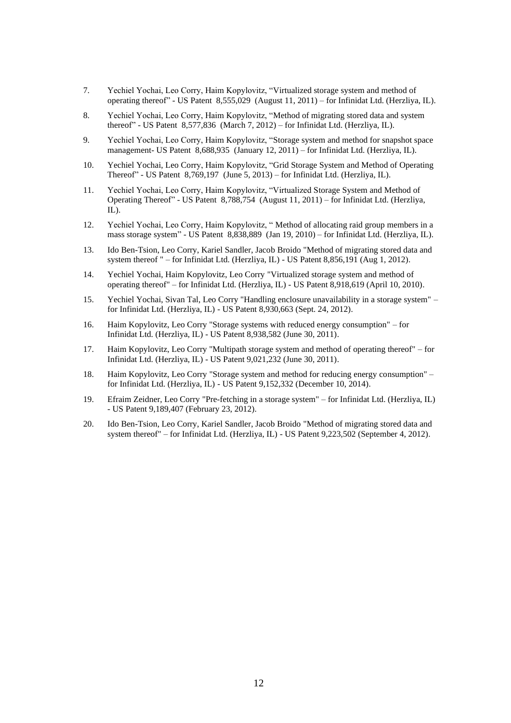- 7. Yechiel Yochai, Leo Corry, Haim Kopylovitz, "Virtualized storage system and method of operating thereof" - US Patent 8,555,029 (August 11, 2011) – for Infinidat Ltd. (Herzliya, IL).
- 8. Yechiel Yochai, Leo Corry, Haim Kopylovitz, "Method of migrating stored data and system thereof" - US Patent 8,577,836 (March 7, 2012) – for Infinidat Ltd. (Herzliya, IL).
- 9. Yechiel Yochai, Leo Corry, Haim Kopylovitz, "Storage system and method for snapshot space management- US Patent 8,688,935 (January 12, 2011) – for Infinidat Ltd. (Herzliya, IL).
- 10. Yechiel Yochai, Leo Corry, Haim Kopylovitz, "Grid Storage System and Method of Operating Thereof" - US Patent 8,769,197 (June 5, 2013) – for Infinidat Ltd. (Herzliya, IL).
- 11. Yechiel Yochai, Leo Corry, Haim Kopylovitz, "Virtualized Storage System and Method of Operating Thereof" - US Patent 8,788,754 (August 11, 2011) – for Infinidat Ltd. (Herzliya, IL).
- 12. Yechiel Yochai, Leo Corry, Haim Kopylovitz, " [Method of allocating raid group members in a](http://patft.uspto.gov/netacgi/nph-Parser?Sect1=PTO2&Sect2=HITOFF&p=1&u=%2Fnetahtml%2FPTO%2Fsearch-bool.html&r=1&f=G&l=50&co1=AND&d=PTXT&s1=8838889&OS=8838889&RS=8838889)  [mass storage system"](http://patft.uspto.gov/netacgi/nph-Parser?Sect1=PTO2&Sect2=HITOFF&p=1&u=%2Fnetahtml%2FPTO%2Fsearch-bool.html&r=1&f=G&l=50&co1=AND&d=PTXT&s1=8838889&OS=8838889&RS=8838889) - US Patent 8,838,889 (Jan 19, 2010) – for Infinidat Ltd. (Herzliya, IL).
- 13. Ido Ben-Tsion, Leo Corry, Kariel Sandler, Jacob Broido "Method of migrating stored data and system thereof " – for Infinidat Ltd. (Herzliya, IL) - US Patent 8,856,191 (Aug 1, 2012).
- 14. Yechiel Yochai, Haim Kopylovitz, Leo Corry ["Virtualized storage system and method of](http://patft.uspto.gov/netacgi/nph-Parser?Sect1=PTO2&Sect2=HITOFF&p=1&u=%2Fnetahtml%2FPTO%2Fsearch-bool.html&r=1&f=G&l=50&co1=AND&d=PTXT&s1=8918619&OS=8918619&RS=8918619)  [operating thereof"](http://patft.uspto.gov/netacgi/nph-Parser?Sect1=PTO2&Sect2=HITOFF&p=1&u=%2Fnetahtml%2FPTO%2Fsearch-bool.html&r=1&f=G&l=50&co1=AND&d=PTXT&s1=8918619&OS=8918619&RS=8918619) – for Infinidat Ltd. (Herzliya, IL) - US Patent 8,918,619 (April 10, 2010).
- 15. Yechiel Yochai, Sivan Tal, Leo Corry "Handling enclosure unavailability in a storage system" for Infinidat Ltd. (Herzliya, IL) - US Patent 8,930,663 (Sept. 24, 2012).
- 16. Haim Kopylovitz, Leo Corry "Storage systems with reduced energy consumption" for Infinidat Ltd. (Herzliya, IL) - US Patent 8,938,582 (June 30, 2011).
- 17. Haim Kopylovitz, Leo Corry "Multipath storage system and method of operating thereof" for Infinidat Ltd. (Herzliya, IL) - US Patent 9,021,232 (June 30, 2011).
- 18. Haim Kopylovitz, Leo Corry "Storage system and method for reducing energy consumption" for Infinidat Ltd. (Herzliya, IL) - US Patent 9,152,332 (December 10, 2014).
- 19. Efraim Zeidner, Leo Corry "Pre-fetching in a storage system" for Infinidat Ltd. (Herzliya, IL) - US Patent 9,189,407 (February 23, 2012).
- 20. Ido Ben-Tsion, Leo Corry, Kariel Sandler, Jacob Broido ["Method of migrating stored data and](https://www.google.com/patents/US9223502)  [system thereof"](https://www.google.com/patents/US9223502) – for Infinidat Ltd. (Herzliya, IL) - US Patent 9,223,502 (September 4, 2012).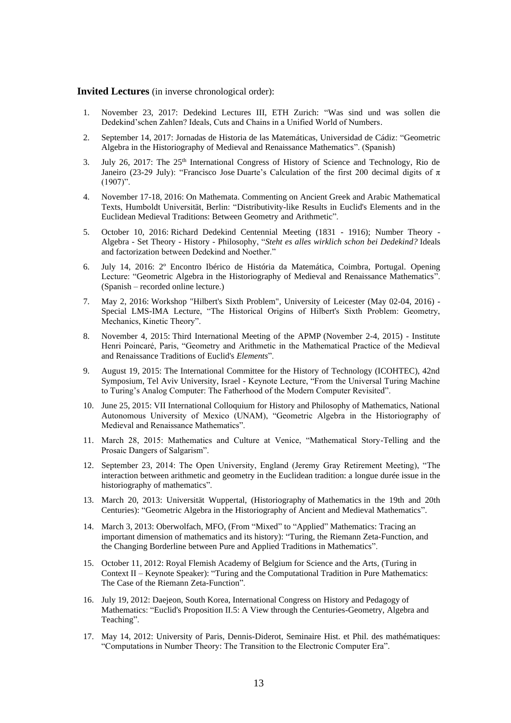**Invited Lectures** (in inverse chronological order):

- 1. November 23, 2017: Dedekind Lectures III, ETH Zurich: "Was sind und was sollen die Dedekind'schen Zahlen? Ideals, Cuts and Chains in a Unified World of Numbers.
- 2. September 14, 2017: Jornadas de Historia de las Matemáticas, Universidad de Cádiz: "Geometric Algebra in the Historiography of Medieval and Renaissance Mathematics". (Spanish)
- 3. July 26, 2017: The 25<sup>th</sup> International Congress of History of Science and Technology, Rio de Janeiro (23-29 July): "Francisco Jose Duarte's Calculation of the first 200 decimal digits of  $\pi$  $(1907)$ ".
- 4. November 17-18, 2016: On Mathemata. Commenting on Ancient Greek and Arabic Mathematical Texts, Humboldt Universität, Berlin: "Distributivity-like Results in Euclid's Elements and in the Euclidean Medieval Traditions: Between Geometry and Arithmetic".
- 5. October 10, 2016: [Richard Dedekind Centennial Meeting \(1831 -](http://edu3.zfw.etc.tu-bs.de/dedekind/index.php) 1916); Number Theory Algebra - [Set Theory -](http://edu3.zfw.etc.tu-bs.de/dedekind/index.php) History - Philosophy, "*Steht es alles wirklich schon bei Dedekind?* Ideals and factorization between Dedekind and Noether."
- 6. July 14, 2016: 2º Encontro Ibérico de História da Matemática, Coimbra, Portugal. Opening Lecture: "Geometric Algebra in the Historiography of Medieval and Renaissance Mathematics". (Spanish – recorded online lecture.)
- 7. May 2, 2016: [Workshop "Hilbert's Sixth Problem",](http://www.math.le.ac.uk/people/ag153/homepage/HilbertWeb/HilbertWorkshop2016.htm) University of Leicester (May 02-04, 2016) Special LMS-IMA Lecture, "The Historical Origins of Hilbert's Sixth Problem: Geometry, Mechanics, Kinetic Theory".
- 8. November 4, 2015: [Third International Meeting of the APMP](http://institucional.us.es/apmp/index_APMP2015.htm) (November 2-4, 2015) Institute Henri Poincaré, Paris, "Geometry and Arithmetic in the Mathematical Practice of the Medieval and Renaissance Traditions of Euclid's *Elements*".
- 9. August 19, 2015: The International Committee for the History of Technology (ICOHTEC), 42nd Symposium, Tel Aviv University, Israel - Keynote Lecture, "From the Universal Turing Machine to Turing's Analog Computer: The Fatherhood of the Modern Computer Revisited".
- 10. June 25, 2015: VII International Colloquium for History and Philosophy of Mathematics, National Autonomous University of Mexico (UNAM), "Geometric Algebra in the Historiography of Medieval and Renaissance Mathematics".
- 11. March 28, 2015: Mathematics and Culture at Venice, "Mathematical Story-Telling and the Prosaic Dangers of Salgarism".
- 12. September 23, 2014: The Open University, England (Jeremy Gray Retirement Meeting), "The interaction between arithmetic and geometry in the Euclidean tradition: a longue durée issue in the historiography of mathematics".
- 13. March 20, 2013: Universität Wuppertal, (Historiography of Mathematics in the 19th and 20th Centuries): "Geometric Algebra in the Historiography of Ancient and Medieval Mathematics".
- 14. March 3, 2013: Oberwolfach, MFO, (From "Mixed" to "Applied" Mathematics: Tracing an important dimension of mathematics and its history): "Turing, the Riemann Zeta-Function, and the Changing Borderline between Pure and Applied Traditions in Mathematics".
- 15. October 11, 2012: Royal Flemish Academy of Belgium for Science and the Arts, (Turing in Context II – Keynote Speaker): "Turing and the Computational Tradition in Pure Mathematics: The Case of the Riemann Zeta-Function".
- 16. July 19, 2012: Daejeon, South Korea, International Congress on History and Pedagogy of Mathematics: "Euclid's Proposition II.5: A View through the Centuries-Geometry, Algebra and Teaching".
- 17. May 14, 2012: University of Paris, Dennis-Diderot, Seminaire Hist. et Phil. des mathématiques: "Computations in Number Theory: The Transition to the Electronic Computer Era".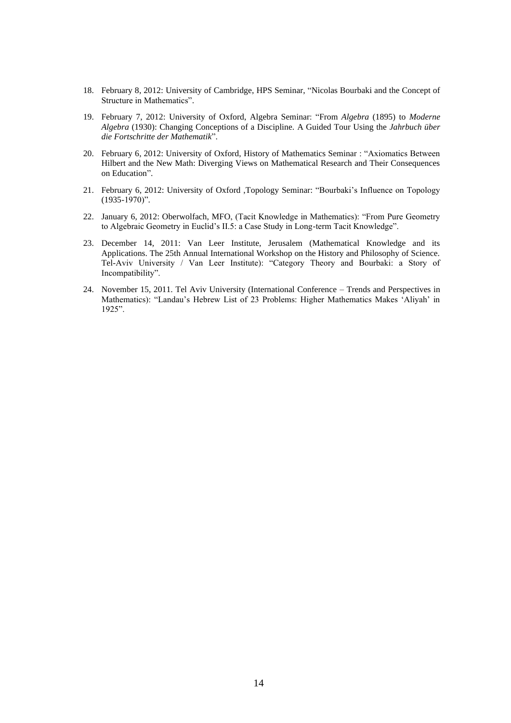- 18. February 8, 2012: University of Cambridge, HPS Seminar, "Nicolas Bourbaki and the Concept of Structure in Mathematics".
- 19. February 7, 2012: University of Oxford, Algebra Seminar: "From *Algebra* (1895) to *Moderne Algebra* (1930): Changing Conceptions of a Discipline. A Guided Tour Using the *Jahrbuch über die Fortschritte der Mathematik*".
- 20. February 6, 2012: University of Oxford, History of Mathematics Seminar : "Axiomatics Between Hilbert and the New Math: Diverging Views on Mathematical Research and Their Consequences on Education".
- 21. February 6, 2012: University of Oxford ,Topology Seminar: "Bourbaki's Influence on Topology (1935-1970)".
- 22. January 6, 2012: Oberwolfach, MFO, (Tacit Knowledge in Mathematics): "From Pure Geometry to Algebraic Geometry in Euclid's II.5: a Case Study in Long-term Tacit Knowledge".
- 23. December 14, 2011: Van Leer Institute, Jerusalem (Mathematical Knowledge and its Applications. The 25th Annual International Workshop on the History and Philosophy of Science. Tel-Aviv University / Van Leer Institute): "Category Theory and Bourbaki: a Story of Incompatibility".
- 24. November 15, 2011. Tel Aviv University (International Conference Trends and Perspectives in Mathematics): "Landau's Hebrew List of 23 Problems: Higher Mathematics Makes 'Aliyah' in 1925".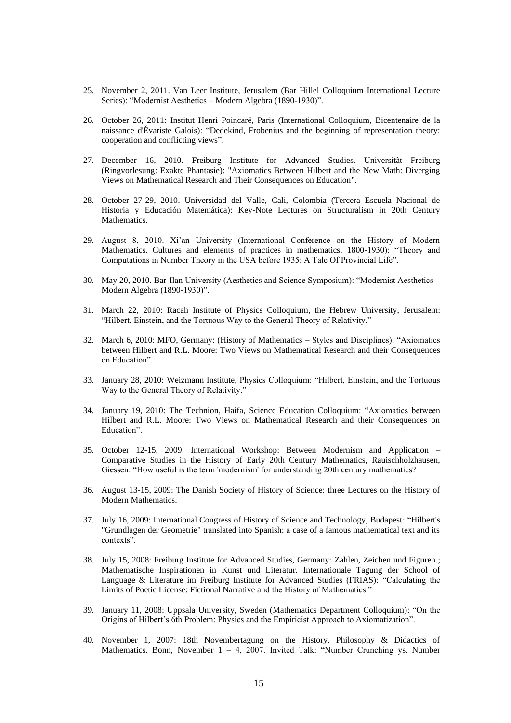- 25. November 2, 2011. Van Leer Institute, Jerusalem (Bar Hillel Colloquium International Lecture Series): "Modernist Aesthetics – Modern Algebra (1890-1930)".
- 26. October 26, 2011: Institut Henri Poincaré, Paris [\(International Colloquium, Bicentenaire de la](http://www.galois.ihp.fr/manifestations/colloque/programme/)  [naissance d'Évariste Galois\)](http://www.galois.ihp.fr/manifestations/colloque/programme/): "Dedekind, Frobenius and the beginning of representation theory: cooperation and conflicting views".
- 27. December 16, 2010. Freiburg Institute for Advanced Studies. Universitãt Freiburg (Ringvorlesung: Exakte Phantasie): "Axiomatics Between Hilbert and the New Math: Diverging Views on Mathematical Research and Their Consequences on Education".
- 28. October 27-29, 2010. Universidad del Valle, Cali, Colombia (Tercera Escuela Nacional de Historia y Educación Matemática): Key-Note Lectures on Structuralism in 20th Century Mathematics.
- 29. August 8, 2010. Xi'an University (International Conference on the History of Modern Mathematics. Cultures and elements of practices in mathematics, 1800-1930): "Theory and Computations in Number Theory in the USA before 1935: A Tale Of Provincial Life".
- 30. May 20, 2010. Bar-Ilan University (Aesthetics and Science Symposium): "Modernist Aesthetics Modern Algebra (1890-1930)".
- 31. March 22, 2010: Racah Institute of Physics Colloquium, the Hebrew University, Jerusalem: "Hilbert, Einstein, and the Tortuous Way to the General Theory of Relativity."
- 32. March 6, 2010: MFO, Germany: (History of Mathematics Styles and Disciplines): "Axiomatics between Hilbert and R.L. Moore: Two Views on Mathematical Research and their Consequences on Education".
- 33. January 28, 2010: Weizmann Institute, Physics Colloquium: "Hilbert, Einstein, and the Tortuous Way to the General Theory of Relativity."
- 34. January 19, 2010: The Technion, Haifa, Science Education Colloquium: "Axiomatics between Hilbert and R.L. Moore: Two Views on Mathematical Research and their Consequences on Education".
- 35. October 12-15, 2009, International Workshop: Between Modernism and Application Comparative Studies in the History of Early 20th Century Mathematics, Rauischholzhausen, Giessen: "How useful is the term 'modernism' for understanding 20th century mathematics?
- 36. August 13-15, 2009: The Danish Society of History of Science: three Lectures on the History of Modern Mathematics.
- 37. July 16, 2009: International Congress of History of Science and Technology, Budapest: "Hilbert's "Grundlagen der Geometrie" translated into Spanish: a case of a famous mathematical text and its contexts".
- 38. July 15, 2008: Freiburg Institute for Advanced Studies, Germany: Zahlen, Zeichen und Figuren.; Mathematische Inspirationen in Kunst und Literatur. Internationale Tagung der School of Language & Literature im Freiburg Institute for Advanced Studies (FRIAS): "Calculating the Limits of Poetic License: Fictional Narrative and the History of Mathematics."
- 39. January 11, 2008: Uppsala University, Sweden (Mathematics Department Colloquium): "On the Origins of Hilbert's 6th Problem: Physics and the Empiricist Approach to Axiomatization".
- 40. November 1, 2007: [18th](http://www.novembertagung.uni-bonn.de/History.html) Novembertagung on the History, Philosophy & Didactics of Mathematics. [Bonn,](http://www.uni-bonn.de/www/IPHIL/Lageplan.html) November  $1 - 4$ , 2007. Invited Talk: "Number Crunching ys. Number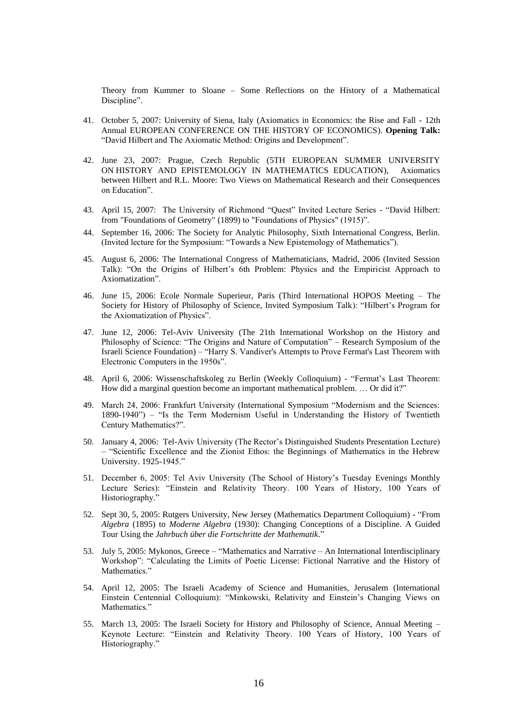Theory from Kummer to Sloane – Some Reflections on the History of a Mathematical Discipline".

- 41. October 5, 2007: University of Siena, Italy (Axiomatics in Economics: the Rise and Fall 12th Annual EUROPEAN CONFERENCE ON THE HISTORY OF ECONOMICS). **Opening Talk:** "David Hilbert and The Axiomatic Method: Origins and Development".
- 42. June 23, 2007: Prague, Czech Republic (5TH EUROPEAN SUMMER UNIVERSITY ON HISTORY AND EPISTEMOLOGY IN MATHEMATICS EDUCATION), Axiomatics between Hilbert and R.L. Moore: Two Views on Mathematical Research and their Consequences on Education".
- 43. April 15, 2007: The University of Richmond "Quest" Invited Lecture Series "David Hilbert: from "Foundations of Geometry" (1899) to "Foundations of Physics" (1915)".
- 44. September 16, 2006: The Society for Analytic Philosophy, Sixth International Congress, Berlin. (Invited lecture for the Symposium: "Towards a New Epistemology of Mathematics").
- 45. August 6, 2006: The International Congress of Mathematicians, Madrid, 2006 (Invited Session Talk): "On the Origins of Hilbert's 6th Problem: Physics and the Empiricist Approach to Axiomatization".
- 46. June 15, 2006: Ecole Normale Superieur, Paris (Third International HOPOS Meeting The Society for History of Philosophy of Science, Invited Symposium Talk): "Hilbert's Program for the Axiomatization of Physics".
- 47. June 12, 2006: Tel-Aviv University (The 21th International Workshop on the History and Philosophy of Science: "The Origins and Nature of Computation" – Research Symposium of the Israeli Science Foundation) – "Harry S. Vandiver's Attempts to Prove Fermat's Last Theorem with Electronic Computers in the 1950s".
- 48. April 6, 2006: Wissenschaftskoleg zu Berlin (Weekly Colloquium) "Fermat's Last Theorem: How did a marginal question become an important mathematical problem. … Or did it?"
- 49. March 24, 2006: Frankfurt University (International Symposium "Modernism and the Sciences: 1890-1940") – "Is the Term Modernism Useful in Understanding the History of Twentieth Century Mathematics?".
- 50. January 4, 2006: Tel-Aviv University (The Rector's Distinguished Students Presentation Lecture) – "Scientific Excellence and the Zionist Ethos: the Beginnings of Mathematics in the Hebrew University. 1925-1945."
- 51. December 6, 2005: Tel Aviv University (The School of History's Tuesday Evenings Monthly Lecture Series): "Einstein and Relativity Theory. 100 Years of History, 100 Years of Historiography."
- 52. Sept 30, 5, 2005: Rutgers University, New Jersey (Mathematics Department Colloquium) "From *Algebra* (1895) to *Moderne Algebra* (1930): Changing Conceptions of a Discipline. A Guided Tour Using the *Jahrbuch über die Fortschritte der Mathematik*."
- 53. July 5, 2005: Mykonos, Greece "Mathematics and Narrative An International Interdisciplinary Workshop": "Calculating the Limits of Poetic License: Fictional Narrative and the History of Mathematics."
- 54. April 12, 2005: The Israeli Academy of Science and Humanities, Jerusalem (International Einstein Centennial Colloquium): "Minkowski, Relativity and Einstein's Changing Views on Mathematics."
- 55. March 13, 2005: The Israeli Society for History and Philosophy of Science, Annual Meeting Keynote Lecture: "Einstein and Relativity Theory. 100 Years of History, 100 Years of Historiography."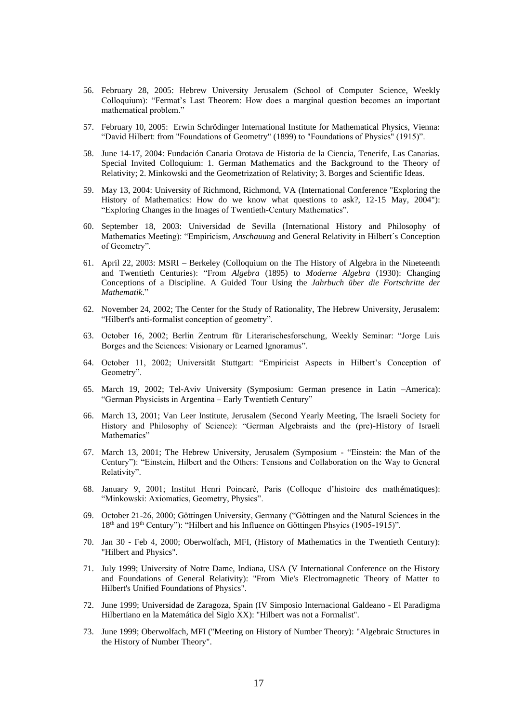- 56. February 28, 2005: Hebrew University Jerusalem (School of Computer Science, Weekly Colloquium): "Fermat's Last Theorem: How does a marginal question becomes an important mathematical problem."
- 57. February 10, 2005: Erwin Schrödinger International Institute for Mathematical Physics, Vienna: "David Hilbert: from "Foundations of Geometry" (1899) to "Foundations of Physics" (1915)".
- 58. June 14-17, 2004: Fundación Canaria Orotava de Historia de la Ciencia, Tenerife, Las Canarias. Special Invited Colloquium: 1. German Mathematics and the Background to the Theory of Relativity; 2. Minkowski and the Geometrization of Relativity; 3. Borges and Scientific Ideas.
- 59. May 13, 2004: University of Richmond, Richmond, VA (International Conference "Exploring the History of Mathematics: How do we know what questions to ask?, 12-15 May, 2004"): "Exploring Changes in the Images of Twentieth-Century Mathematics".
- 60. September 18, 2003: Universidad de Sevilla (International History and Philosophy of Mathematics Meeting): "Empiricism, *Anschauung* and General Relativity in Hilbert´s Conception of Geometry".
- 61. April 22, 2003: MSRI Berkeley (Colloquium on the The History of Algebra in the Nineteenth and Twentieth Centuries): "From *Algebra* (1895) to *Moderne Algebra* (1930): Changing Conceptions of a Discipline. A Guided Tour Using the *Jahrbuch über die Fortschritte der Mathematik*."
- 62. November 24, 2002; The Center for the Study of Rationality, The Hebrew University, Jerusalem: "Hilbert's anti-formalist conception of geometry".
- 63. October 16, 2002; Berlin Zentrum für Literarischesforschung, Weekly Seminar: "Jorge Luis Borges and the Sciences: Visionary or Learned Ignoramus".
- 64. October 11, 2002; Universität Stuttgart: "Empiricist Aspects in Hilbert's Conception of Geometry".
- 65. March 19, 2002; Tel-Aviv University (Symposium: German presence in Latin –America): "German Physicists in Argentina – Early Twentieth Century"
- 66. March 13, 2001; Van Leer Institute, Jerusalem (Second Yearly Meeting, The Israeli Society for History and Philosophy of Science): "German Algebraists and the (pre)-History of Israeli Mathematics"
- 67. March 13, 2001; The Hebrew University, Jerusalem (Symposium "Einstein: the Man of the Century"): "Einstein, Hilbert and the Others: Tensions and Collaboration on the Way to General Relativity".
- 68. January 9, 2001; Institut Henri Poincaré, Paris (Colloque d'histoire des mathématiques): "Minkowski: Axiomatics, Geometry, Physics".
- 69. October 21-26, 2000; Göttingen University, Germany ("Göttingen and the Natural Sciences in the 18th and 19th Century"): "Hilbert and his Influence on Göttingen Phsyics (1905-1915)".
- 70. Jan 30 Feb 4, 2000; Oberwolfach, MFI, (History of Mathematics in the Twentieth Century): "Hilbert and Physics".
- 71. July 1999; University of Notre Dame, Indiana, USA (V International Conference on the History and Foundations of General Relativity): "From Mie's Electromagnetic Theory of Matter to Hilbert's Unified Foundations of Physics".
- 72. June 1999; Universidad de Zaragoza, Spain (IV Simposio Internacional Galdeano El Paradigma Hilbertiano en la Matemática del Siglo XX): "Hilbert was not a Formalist".
- 73. June 1999; Oberwolfach, MFI ("Meeting on History of Number Theory): "Algebraic Structures in the History of Number Theory".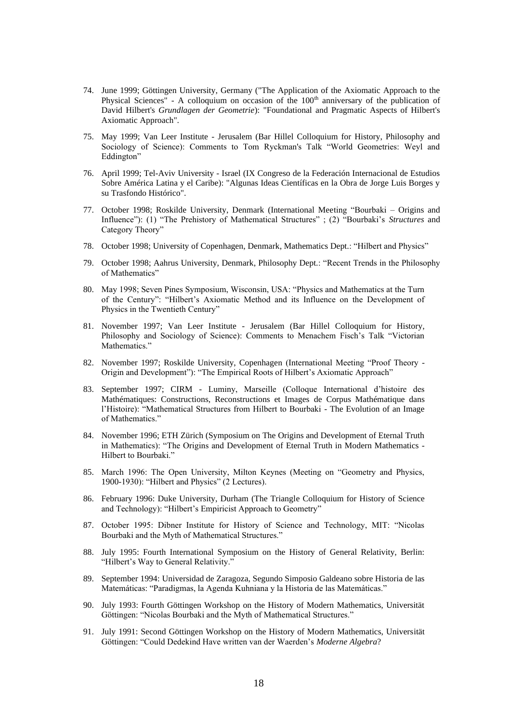- 74. June 1999; Göttingen University, Germany ("The Application of the Axiomatic Approach to the Physical Sciences" - A colloquium on occasion of the  $100<sup>th</sup>$  anniversary of the publication of David Hilbert's *Grundlagen der Geometrie*): "Foundational and Pragmatic Aspects of Hilbert's Axiomatic Approach".
- 75. May 1999; Van Leer Institute Jerusalem (Bar Hillel Colloquium for History, Philosophy and Sociology of Science): Comments to Tom Ryckman's Talk "World Geometries: Weyl and Eddington"
- 76. April 1999; Tel-Aviv University Israel (IX Congreso de la Federación Internacional de Estudios Sobre América Latina y el Caribe): "Algunas Ideas Científicas en la Obra de Jorge Luis Borges y su Trasfondo Histórico".
- 77. October 1998; Roskilde University, Denmark (International Meeting "Bourbaki Origins and Influence"): (1) "The Prehistory of Mathematical Structures" ; (2) "Bourbaki's *Structures* and Category Theory"
- 78. October 1998; University of Copenhagen, Denmark, Mathematics Dept.: "Hilbert and Physics"
- 79. October 1998; Aahrus University, Denmark, Philosophy Dept.: "Recent Trends in the Philosophy of Mathematics"
- 80. May 1998; Seven Pines Symposium, Wisconsin, USA: "Physics and Mathematics at the Turn of the Century": "Hilbert's Axiomatic Method and its Influence on the Development of Physics in the Twentieth Century"
- 81. November 1997; Van Leer Institute Jerusalem (Bar Hillel Colloquium for History, Philosophy and Sociology of Science): Comments to Menachem Fisch's Talk "Victorian Mathematics."
- 82. November 1997; Roskilde University, Copenhagen (International Meeting "Proof Theory Origin and Development"): "The Empirical Roots of Hilbert's Axiomatic Approach"
- 83. September 1997; CIRM Luminy, Marseille (Colloque International d'histoire des Mathématiques: Constructions, Reconstructions et Images de Corpus Mathématique dans l'Histoire): "Mathematical Structures from Hilbert to Bourbaki - The Evolution of an Image of Mathematics."
- 84. November 1996; ETH Zürich (Symposium on The Origins and Development of Eternal Truth in Mathematics): "The Origins and Development of Eternal Truth in Modern Mathematics - Hilbert to Bourbaki."
- 85. March 1996: The Open University, Milton Keynes (Meeting on "Geometry and Physics, 1900-1930): "Hilbert and Physics" (2 Lectures).
- 86. February 1996: Duke University, Durham (The Triangle Colloquium for History of Science and Technology): "Hilbert's Empiricist Approach to Geometry"
- 87. October 1995: Dibner Institute for History of Science and Technology, MIT: "Nicolas Bourbaki and the Myth of Mathematical Structures."
- 88. July 1995: Fourth International Symposium on the History of General Relativity, Berlin: "Hilbert's Way to General Relativity."
- 89. September 1994: Universidad de Zaragoza, Segundo Simposio Galdeano sobre Historia de las Matemáticas: "Paradigmas, la Agenda Kuhniana y la Historia de las Matemáticas."
- 90. July 1993: Fourth Göttingen Workshop on the History of Modern Mathematics, Universität Göttingen: "Nicolas Bourbaki and the Myth of Mathematical Structures."
- 91. July 1991: Second Göttingen Workshop on the History of Modern Mathematics, Universität Göttingen: "Could Dedekind Have written van der Waerden's *Moderne Algebra*?